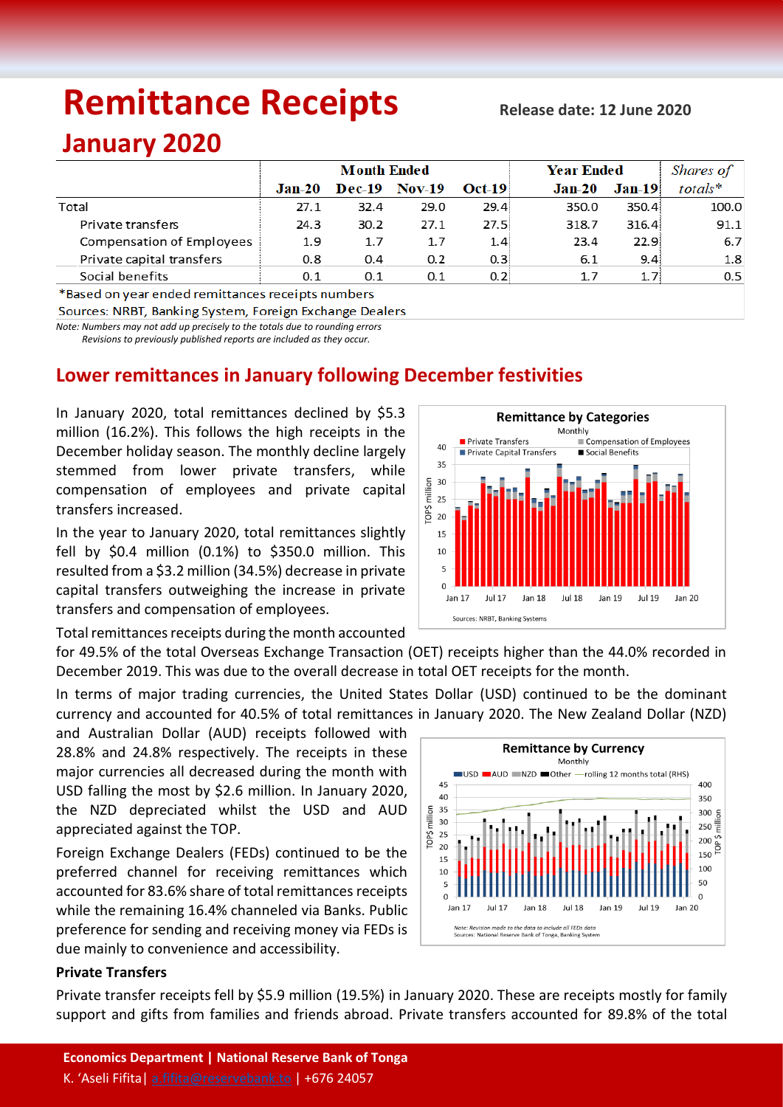# **Remittance Receipts**

#### **Release date: 12 June 2020**

## **January 2020**

|                           | <b>Month Ended</b> |               |               |                  | Year Ended | Shares of         |         |
|---------------------------|--------------------|---------------|---------------|------------------|------------|-------------------|---------|
|                           | $Jan-20$           | <b>Dec-19</b> | <b>Nov-19</b> | <b>Oct-19</b>    | $Jan-20$   | $Jan-19$          | totals* |
| Total                     | 27.1               | 32.4          | 29.0          | 29.4             | 350.0      | 350.4             | 100.0   |
| Private transfers         | 24.3               | 30.2          | 27.1          | 27.5             | 318.7      | 316.4             | 91.1    |
| Compensation of Employees | 1.9                | 1.7           | 1.7           | 1.4 <sub>1</sub> | 23.4       | 22.9 <sup>2</sup> | 6.7     |
| Private capital transfers | 0.8                | 0.4           | 0.2           | 0.3 <sup>1</sup> | 6.1        | 9.4               | 1.8     |
| Social benefits           | 0.1                | 0.1           | 0.1           | 0.2 <sup>1</sup> | 1.7        | 1.7               | 0.5     |

\*Based on year ended remittances receipts numbers

Sources: NRBT, Banking System, Foreign Exchange Dealers

*Note: Numbers may not add up precisely to the totals due to rounding errors Revisions to previously published reports are included as they occur.*

### **Lower remittances in January following December festivities**

In January 2020, total remittances declined by \$5.3 million (16.2%). This follows the high receipts in the December holiday season. The monthly decline largely stemmed from lower private transfers, while compensation of employees and private capital transfers increased.

In the year to January 2020, total remittances slightly fell by \$0.4 million (0.1%) to \$350.0 million. This resulted from a \$3.2 million (34.5%) decrease in private capital transfers outweighing the increase in private transfers and compensation of employees.

Total remittances receipts during the month accounted

for 49.5% of the total Overseas Exchange Transaction (OET) receipts higher than the 44.0% recorded in December 2019. This was due to the overall decrease in total OET receipts for the month.

In terms of major trading currencies, the United States Dollar (USD) continued to be the dominant currency and accounted for 40.5% of total remittances in January 2020. The New Zealand Dollar (NZD)

and Australian Dollar (AUD) receipts followed with 28.8% and 24.8% respectively. The receipts in these major currencies all decreased during the month with USD falling the most by \$2.6 million. In January 2020, the NZD depreciated whilst the USD and AUD appreciated against the TOP.

Foreign Exchange Dealers (FEDs) continued to be the preferred channel for receiving remittances which accounted for 83.6% share of total remittances receipts while the remaining 16.4% channeled via Banks. Public preference for sending and receiving money via FEDs is due mainly to convenience and accessibility.



#### **Private Transfers**

Private transfer receipts fell by \$5.9 million (19.5%) in January 2020. These are receipts mostly for family support and gifts from families and friends abroad. Private transfers accounted for 89.8% of the total